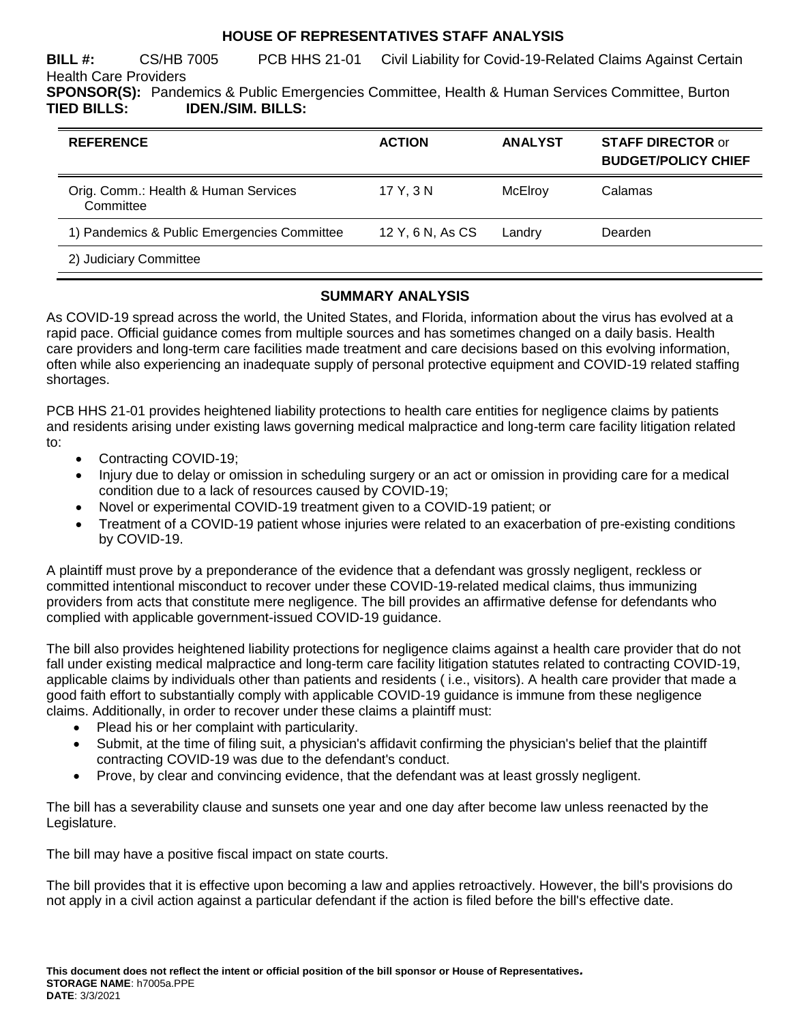# **HOUSE OF REPRESENTATIVES STAFF ANALYSIS**

**BILL #:** CS/HB 7005 PCB HHS 21-01 Civil Liability for Covid-19-Related Claims Against Certain Health Care Providers **SPONSOR(S):** Pandemics & Public Emergencies Committee, Health & Human Services Committee, Burton **TIED BILLS: IDEN./SIM. BILLS:**

| <b>REFERENCE</b>                                  | <b>ACTION</b>    | <b>ANALYST</b> | <b>STAFF DIRECTOR or</b><br><b>BUDGET/POLICY CHIEF</b> |
|---------------------------------------------------|------------------|----------------|--------------------------------------------------------|
| Orig. Comm.: Health & Human Services<br>Committee | 17 Y. 3 N        | McElroy        | Calamas                                                |
| 1) Pandemics & Public Emergencies Committee       | 12 Y, 6 N, As CS | Landry         | Dearden                                                |
| 2) Judiciary Committee                            |                  |                |                                                        |

### **SUMMARY ANALYSIS**

As COVID-19 spread across the world, the United States, and Florida, information about the virus has evolved at a rapid pace. Official guidance comes from multiple sources and has sometimes changed on a daily basis. Health care providers and long-term care facilities made treatment and care decisions based on this evolving information, often while also experiencing an inadequate supply of personal protective equipment and COVID-19 related staffing shortages.

PCB HHS 21-01 provides heightened liability protections to health care entities for negligence claims by patients and residents arising under existing laws governing medical malpractice and long-term care facility litigation related to:

- Contracting COVID-19;
- Injury due to delay or omission in scheduling surgery or an act or omission in providing care for a medical condition due to a lack of resources caused by COVID-19;
- Novel or experimental COVID-19 treatment given to a COVID-19 patient; or
- Treatment of a COVID-19 patient whose injuries were related to an exacerbation of pre-existing conditions by COVID-19.

A plaintiff must prove by a preponderance of the evidence that a defendant was grossly negligent, reckless or committed intentional misconduct to recover under these COVID-19-related medical claims, thus immunizing providers from acts that constitute mere negligence. The bill provides an affirmative defense for defendants who complied with applicable government-issued COVID-19 guidance.

The bill also provides heightened liability protections for negligence claims against a health care provider that do not fall under existing medical malpractice and long-term care facility litigation statutes related to contracting COVID-19, applicable claims by individuals other than patients and residents ( i.e., visitors). A health care provider that made a good faith effort to substantially comply with applicable COVID-19 guidance is immune from these negligence claims. Additionally, in order to recover under these claims a plaintiff must:

- Plead his or her complaint with particularity.
- Submit, at the time of filing suit, a physician's affidavit confirming the physician's belief that the plaintiff contracting COVID-19 was due to the defendant's conduct.
- Prove, by clear and convincing evidence, that the defendant was at least grossly negligent.

The bill has a severability clause and sunsets one year and one day after become law unless reenacted by the Legislature.

The bill may have a positive fiscal impact on state courts.

The bill provides that it is effective upon becoming a law and applies retroactively. However, the bill's provisions do not apply in a civil action against a particular defendant if the action is filed before the bill's effective date.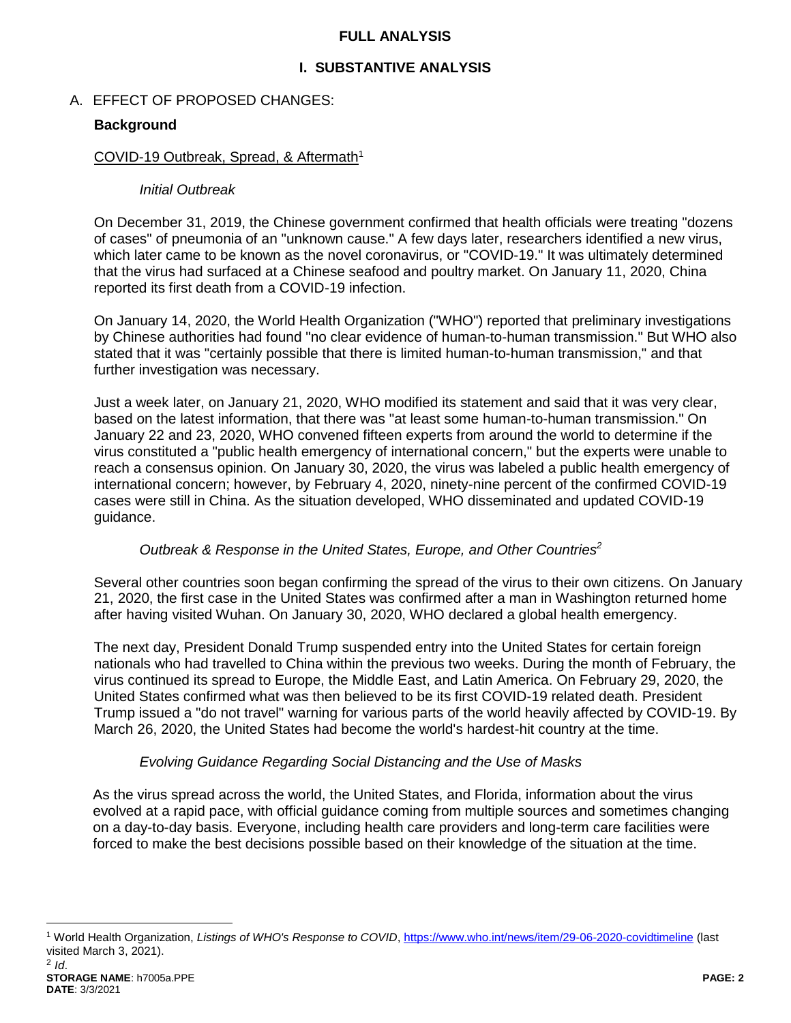#### **FULL ANALYSIS**

# **I. SUBSTANTIVE ANALYSIS**

# A. EFFECT OF PROPOSED CHANGES:

# **Background**

#### COVID-19 Outbreak, Spread, & Aftermath<sup>1</sup>

#### *Initial Outbreak*

On December 31, 2019, the Chinese government confirmed that health officials were treating "dozens of cases" of pneumonia of an "unknown cause." A few days later, researchers identified a new virus, which later came to be known as the novel coronavirus, or "COVID-19." It was ultimately determined that the virus had surfaced at a Chinese seafood and poultry market. On January 11, 2020, China reported its first death from a COVID-19 infection.

On January 14, 2020, the World Health Organization ("WHO") reported that preliminary investigations by Chinese authorities had found "no clear evidence of human-to-human transmission." But WHO also stated that it was "certainly possible that there is limited human-to-human transmission," and that further investigation was necessary.

Just a week later, on January 21, 2020, WHO modified its statement and said that it was very clear, based on the latest information, that there was "at least some human-to-human transmission." On January 22 and 23, 2020, WHO convened fifteen experts from around the world to determine if the virus constituted a "public health emergency of international concern," but the experts were unable to reach a consensus opinion. On January 30, 2020, the virus was labeled a public health emergency of international concern; however, by February 4, 2020, ninety-nine percent of the confirmed COVID-19 cases were still in China. As the situation developed, WHO disseminated and updated COVID-19 guidance.

### *Outbreak & Response in the United States, Europe, and Other Countries<sup>2</sup>*

Several other countries soon began confirming the spread of the virus to their own citizens. On January 21, 2020, the first case in the United States was confirmed after a man in Washington returned home after having visited Wuhan. On January 30, 2020, WHO declared a global health emergency.

The next day, President Donald Trump suspended entry into the United States for certain foreign nationals who had travelled to China within the previous two weeks. During the month of February, the virus continued its spread to Europe, the Middle East, and Latin America. On February 29, 2020, the United States confirmed what was then believed to be its first COVID-19 related death. President Trump issued a "do not travel" warning for various parts of the world heavily affected by COVID-19. By March 26, 2020, the United States had become the world's hardest-hit country at the time.

### *Evolving Guidance Regarding Social Distancing and the Use of Masks*

As the virus spread across the world, the United States, and Florida, information about the virus evolved at a rapid pace, with official guidance coming from multiple sources and sometimes changing on a day-to-day basis. Everyone, including health care providers and long-term care facilities were forced to make the best decisions possible based on their knowledge of the situation at the time.

<sup>1</sup> World Health Organization, *Listings of WHO's Response to COVID*[, https://www.who.int/news/item/29-06-2020-covidtimeline](https://www.who.int/news/item/29-06-2020-covidtimeline) (last visited March 3, 2021).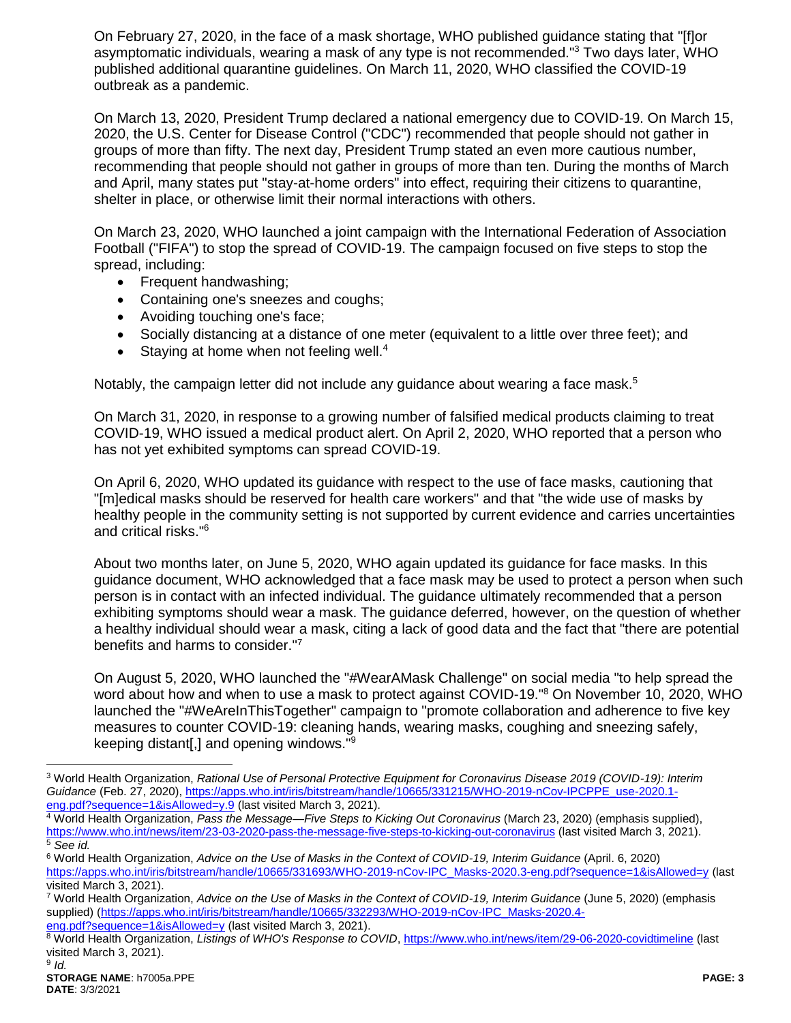On February 27, 2020, in the face of a mask shortage, WHO published guidance stating that "[f]or asymptomatic individuals, wearing a mask of any type is not recommended."<sup>3</sup> Two days later, WHO published additional quarantine guidelines. On March 11, 2020, WHO classified the COVID-19 outbreak as a pandemic.

On March 13, 2020, President Trump declared a national emergency due to COVID-19. On March 15, 2020, the U.S. Center for Disease Control ("CDC") recommended that people should not gather in groups of more than fifty. The next day, President Trump stated an even more cautious number, recommending that people should not gather in groups of more than ten. During the months of March and April, many states put "stay-at-home orders" into effect, requiring their citizens to quarantine, shelter in place, or otherwise limit their normal interactions with others.

On March 23, 2020, WHO launched a joint campaign with the International Federation of Association Football ("FIFA") to stop the spread of COVID-19. The campaign focused on five steps to stop the spread, including:

- Frequent handwashing;
- Containing one's sneezes and coughs;
- Avoiding touching one's face;
- Socially distancing at a distance of one meter (equivalent to a little over three feet); and
- Staying at home when not feeling well.<sup>4</sup>

Notably, the campaign letter did not include any guidance about wearing a face mask.<sup>5</sup>

On March 31, 2020, in response to a growing number of falsified medical products claiming to treat COVID-19, WHO issued a medical product alert. On April 2, 2020, WHO reported that a person who has not yet exhibited symptoms can spread COVID-19.

On April 6, 2020, WHO updated its guidance with respect to the use of face masks, cautioning that "[m]edical masks should be reserved for health care workers" and that "the wide use of masks by healthy people in the community setting is not supported by current evidence and carries uncertainties and critical risks."<sup>6</sup>

About two months later, on June 5, 2020, WHO again updated its guidance for face masks. In this guidance document, WHO acknowledged that a face mask may be used to protect a person when such person is in contact with an infected individual. The guidance ultimately recommended that a person exhibiting symptoms should wear a mask. The guidance deferred, however, on the question of whether a healthy individual should wear a mask, citing a lack of good data and the fact that "there are potential benefits and harms to consider."<sup>7</sup>

On August 5, 2020, WHO launched the "#WearAMask Challenge" on social media "to help spread the word about how and when to use a mask to protect against COVID-19.<sup>"8</sup> On November 10, 2020, WHO launched the "#WeAreInThisTogether" campaign to "promote collaboration and adherence to five key measures to counter COVID-19: cleaning hands, wearing masks, coughing and sneezing safely, keeping distant[,] and opening windows."<sup>9</sup>

<sup>3</sup> World Health Organization, *Rational Use of Personal Protective Equipment for Coronavirus Disease 2019 (COVID-19): Interim Guidance* (Feb. 27, 2020)[, https://apps.who.int/iris/bitstream/handle/10665/331215/WHO-2019-nCov-IPCPPE\\_use-2020.1](https://apps.who.int/iris/bitstream/handle/10665/331215/WHO-2019-nCov-IPCPPE_use-2020.1-eng.pdf?sequence=1&isAllowed=y.9) [eng.pdf?sequence=1&isAllowed=y.9](https://apps.who.int/iris/bitstream/handle/10665/331215/WHO-2019-nCov-IPCPPE_use-2020.1-eng.pdf?sequence=1&isAllowed=y.9) (last visited March 3, 2021).

<sup>4</sup> World Health Organization, *Pass the Message—Five Steps to Kicking Out Coronavirus* (March 23, 2020) (emphasis supplied), <https://www.who.int/news/item/23-03-2020-pass-the-message-five-steps-to-kicking-out-coronavirus> (last visited March 3, 2021). <sup>5</sup> *See id.*

<sup>6</sup> World Health Organization, *Advice on the Use of Masks in the Context of COVID-19, Interim Guidance* (April. 6, 2020) [https://apps.who.int/iris/bitstream/handle/10665/331693/WHO-2019-nCov-IPC\\_Masks-2020.3-eng.pdf?sequence=1&isAllowed=y](https://apps.who.int/iris/bitstream/handle/10665/331693/WHO-2019-nCov-IPC_Masks-2020.3-eng.pdf?sequence=1&isAllowed=y) (last visited March 3, 2021).

<sup>7</sup> World Health Organization, *Advice on the Use of Masks in the Context of COVID-19, Interim Guidance* (June 5, 2020) (emphasis supplied) [\(https://apps.who.int/iris/bitstream/handle/10665/332293/WHO-2019-nCov-IPC\\_Masks-2020.4](https://apps.who.int/iris/bitstream/handle/10665/332293/WHO-2019-nCov-IPC_Masks-2020.4-eng.pdf?sequence=1&isAllowed=y) [eng.pdf?sequence=1&isAllowed=y](https://apps.who.int/iris/bitstream/handle/10665/332293/WHO-2019-nCov-IPC_Masks-2020.4-eng.pdf?sequence=1&isAllowed=y) (last visited March 3, 2021).

<sup>8</sup> World Health Organization, Listings of WHO's Response to COVID[, https://www.who.int/news/item/29-06-2020-covidtimeline](https://www.who.int/news/item/29-06-2020-covidtimeline) (last visited March 3, 2021).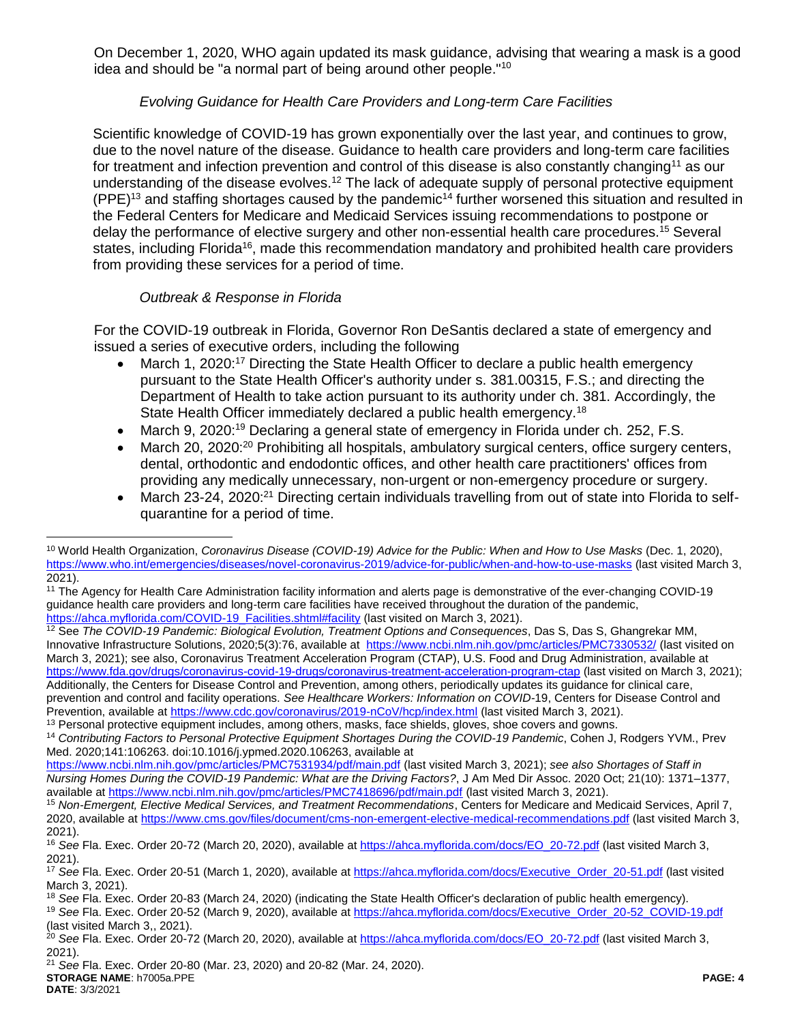On December 1, 2020, WHO again updated its mask guidance, advising that wearing a mask is a good idea and should be "a normal part of being around other people."<sup>10</sup>

# *Evolving Guidance for Health Care Providers and Long-term Care Facilities*

Scientific knowledge of COVID-19 has grown exponentially over the last year, and continues to grow, due to the novel nature of the disease. Guidance to health care providers and long-term care facilities for treatment and infection prevention and control of this disease is also constantly changing<sup>11</sup> as our understanding of the disease evolves.<sup>12</sup> The lack of adequate supply of personal protective equipment  $(PPE)^{13}$  and staffing shortages caused by the pandemic<sup>14</sup> further worsened this situation and resulted in the Federal Centers for Medicare and Medicaid Services issuing recommendations to postpone or delay the performance of elective surgery and other non-essential health care procedures.<sup>15</sup> Several states, including Florida<sup>16</sup>, made this recommendation mandatory and prohibited health care providers from providing these services for a period of time.

# *Outbreak & Response in Florida*

 $\overline{a}$ 

For the COVID-19 outbreak in Florida, Governor Ron DeSantis declared a state of emergency and issued a series of executive orders, including the following

- March 1, 2020:<sup>17</sup> Directing the State Health Officer to declare a public health emergency pursuant to the State Health Officer's authority under s. 381.00315, F.S.; and directing the Department of Health to take action pursuant to its authority under ch. 381. Accordingly, the State Health Officer immediately declared a public health emergency.<sup>18</sup>
- March 9, 2020:<sup>19</sup> Declaring a general state of emergency in Florida under ch. 252, F.S.
- March 20, 2020:<sup>20</sup> Prohibiting all hospitals, ambulatory surgical centers, office surgery centers, dental, orthodontic and endodontic offices, and other health care practitioners' offices from providing any medically unnecessary, non-urgent or non-emergency procedure or surgery.
- March 23-24, 2020:<sup>21</sup> Directing certain individuals travelling from out of state into Florida to selfquarantine for a period of time.

<sup>10</sup> World Health Organization, *Coronavirus Disease (COVID-19) Advice for the Public: When and How to Use Masks* (Dec. 1, 2020), <https://www.who.int/emergencies/diseases/novel-coronavirus-2019/advice-for-public/when-and-how-to-use-masks> (last visited March 3, 2021).

<sup>11</sup> The Agency for Health Care Administration facility information and alerts page is demonstrative of the ever-changing COVID-19 guidance health care providers and long-term care facilities have received throughout the duration of the pandemic, [https://ahca.myflorida.com/COVID-19\\_Facilities.shtml#facility](https://ahca.myflorida.com/COVID-19_Facilities.shtml#facility) (last visited on March 3, 2021).

<sup>12</sup> See *The COVID-19 Pandemic: Biological Evolution, Treatment Options and Consequences*, Das S, Das S, Ghangrekar MM, Innovative Infrastructure Solutions, 2020;5(3):76, available at <https://www.ncbi.nlm.nih.gov/pmc/articles/PMC7330532/> (last visited on March 3, 2021); see also, Coronavirus Treatment Acceleration Program (CTAP), U.S. Food and Drug Administration, available at <https://www.fda.gov/drugs/coronavirus-covid-19-drugs/coronavirus-treatment-acceleration-program-ctap> (last visited on March 3, 2021); Additionally, the Centers for Disease Control and Prevention, among others, periodically updates its guidance for clinical care, prevention and control and facility operations. *See Healthcare Workers: Information on COVID-*19, Centers for Disease Control and Prevention, available at<https://www.cdc.gov/coronavirus/2019-nCoV/hcp/index.html> (last visited March 3, 2021).

<sup>&</sup>lt;sup>13</sup> Personal protective equipment includes, among others, masks, face shields, gloves, shoe covers and gowns.

<sup>14</sup> *Contributing Factors to Personal Protective Equipment Shortages During the COVID-19 Pandemic*, Cohen J, Rodgers YVM., Prev Med. 2020;141:106263. doi:10.1016/j.ypmed.2020.106263, available at

<https://www.ncbi.nlm.nih.gov/pmc/articles/PMC7531934/pdf/main.pdf> (last visited March 3, 2021); *see also Shortages of Staff in Nursing Homes During the COVID-19 Pandemic: What are the Driving Factors?*, J Am Med Dir Assoc. 2020 Oct; 21(10): 1371–1377, available at<https://www.ncbi.nlm.nih.gov/pmc/articles/PMC7418696/pdf/main.pdf> (last visited March 3, 2021).

<sup>15</sup> *Non-Emergent, Elective Medical Services, and Treatment Recommendations*, Centers for Medicare and Medicaid Services, April 7, 2020, available at<https://www.cms.gov/files/document/cms-non-emergent-elective-medical-recommendations.pdf> (last visited March 3, 2021).

<sup>16</sup> *See* Fla. Exec. Order 20-72 (March 20, 2020), available at [https://ahca.myflorida.com/docs/EO\\_20-72.pdf](https://ahca.myflorida.com/docs/EO_20-72.pdf) (last visited March 3, 2021).

<sup>17</sup> *See* Fla. Exec. Order 20-51 (March 1, 2020), available at [https://ahca.myflorida.com/docs/Executive\\_Order\\_20-51.pdf](https://ahca.myflorida.com/docs/Executive_Order_20-51.pdf) (last visited March 3, 2021).

<sup>18</sup> *See* Fla. Exec. Order 20-83 (March 24, 2020) (indicating the State Health Officer's declaration of public health emergency).

<sup>19</sup> *See* Fla. Exec. Order 20-52 (March 9, 2020), available at [https://ahca.myflorida.com/docs/Executive\\_Order\\_20-52\\_COVID-19.pdf](https://ahca.myflorida.com/docs/Executive_Order_20-52_COVID-19.pdf) (last visited March 3,, 2021).

<sup>20</sup> *See* Fla. Exec. Order 20-72 (March 20, 2020), available at [https://ahca.myflorida.com/docs/EO\\_20-72.pdf](https://ahca.myflorida.com/docs/EO_20-72.pdf) (last visited March 3, 2021).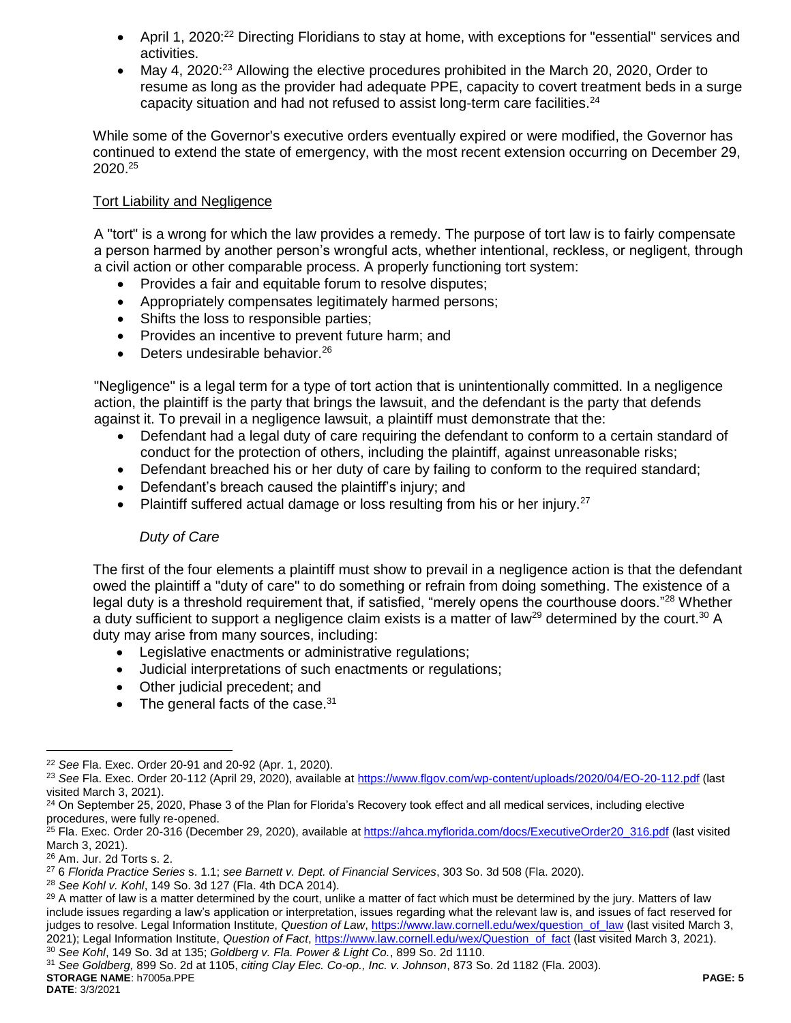- April 1, 2020:<sup>22</sup> Directing Floridians to stay at home, with exceptions for "essential" services and activities.
- May 4, 2020:<sup>23</sup> Allowing the elective procedures prohibited in the March 20, 2020, Order to resume as long as the provider had adequate PPE, capacity to covert treatment beds in a surge capacity situation and had not refused to assist long-term care facilities.<sup>24</sup>

While some of the Governor's executive orders eventually expired or were modified, the Governor has continued to extend the state of emergency, with the most recent extension occurring on December 29, 2020. 25

### Tort Liability and Negligence

A "tort" is a wrong for which the law provides a remedy. The purpose of tort law is to fairly compensate a person harmed by another person's wrongful acts, whether intentional, reckless, or negligent, through a civil action or other comparable process. A properly functioning tort system:

- Provides a fair and equitable forum to resolve disputes;
- Appropriately compensates legitimately harmed persons;
- Shifts the loss to responsible parties;
- Provides an incentive to prevent future harm; and
- $\bullet$  Deters undesirable behavior.<sup>26</sup>

"Negligence" is a legal term for a type of tort action that is unintentionally committed. In a negligence action, the plaintiff is the party that brings the lawsuit, and the defendant is the party that defends against it. To prevail in a negligence lawsuit, a plaintiff must demonstrate that the:

- Defendant had a legal duty of care requiring the defendant to conform to a certain standard of conduct for the protection of others, including the plaintiff, against unreasonable risks;
- Defendant breached his or her duty of care by failing to conform to the required standard;
- Defendant's breach caused the plaintiff's injury; and
- Plaintiff suffered actual damage or loss resulting from his or her injury.<sup>27</sup>

### *Duty of Care*

The first of the four elements a plaintiff must show to prevail in a negligence action is that the defendant owed the plaintiff a "duty of care" to do something or refrain from doing something. The existence of a legal duty is a threshold requirement that, if satisfied, "merely opens the courthouse doors."<sup>28</sup> Whether a duty sufficient to support a negligence claim exists is a matter of law<sup>29</sup> determined by the court.<sup>30</sup> A duty may arise from many sources, including:

- Legislative enactments or administrative regulations;
- Judicial interpretations of such enactments or regulations;
- Other judicial precedent; and
- $\bullet$  The general facts of the case.<sup>31</sup>

**STORAGE NAME**: h7005a.PPE **PAGE: 5** <sup>31</sup> *See Goldberg,* 899 So. 2d at 1105, *citing Clay Elec. Co-op., Inc. v. Johnson*, 873 So. 2d 1182 (Fla. 2003).

<sup>22</sup> *See* Fla. Exec. Order 20-91 and 20-92 (Apr. 1, 2020).

<sup>23</sup> *See* Fla. Exec. Order 20-112 (April 29, 2020), available at<https://www.flgov.com/wp-content/uploads/2020/04/EO-20-112.pdf> (last visited March 3, 2021).

<sup>&</sup>lt;sup>24</sup> On September 25, 2020, Phase 3 of the Plan for Florida's Recovery took effect and all medical services, including elective procedures, were fully re-opened.

<sup>&</sup>lt;sup>25</sup> Fla. Exec. Order 20-316 (December 29, 2020), available at [https://ahca.myflorida.com/docs/ExecutiveOrder20\\_316.pdf](https://ahca.myflorida.com/docs/ExecutiveOrder20_316.pdf) (last visited March 3, 2021).

<sup>26</sup> Am. Jur. 2d Torts s. 2.

<sup>27</sup> 6 *Florida Practice Series* s. 1.1; *see Barnett v. Dept. of Financial Services*, 303 So. 3d 508 (Fla. 2020).

<sup>28</sup> *See Kohl v. Kohl*, 149 So. 3d 127 (Fla. 4th DCA 2014).

<sup>&</sup>lt;sup>29</sup> A matter of law is a matter determined by the court, unlike a matter of fact which must be determined by the jury. Matters of law include issues regarding a law's application or interpretation, issues regarding what the relevant law is, and issues of fact reserved for judges to resolve. Legal Information Institute, *Question of Law*[, https://www.law.cornell.edu/wex/question\\_of\\_law](https://www.law.cornell.edu/wex/question_of_law) (last visited March 3, 2021); Legal Information Institute, *Question of Fact*[, https://www.law.cornell.edu/wex/Question\\_of\\_fact](https://www.law.cornell.edu/wex/Question_of_fact) (last visited March 3, 2021). <sup>30</sup> *See Kohl*, 149 So. 3d at 135; *Goldberg v. Fla. Power & Light Co.*, 899 So. 2d 1110.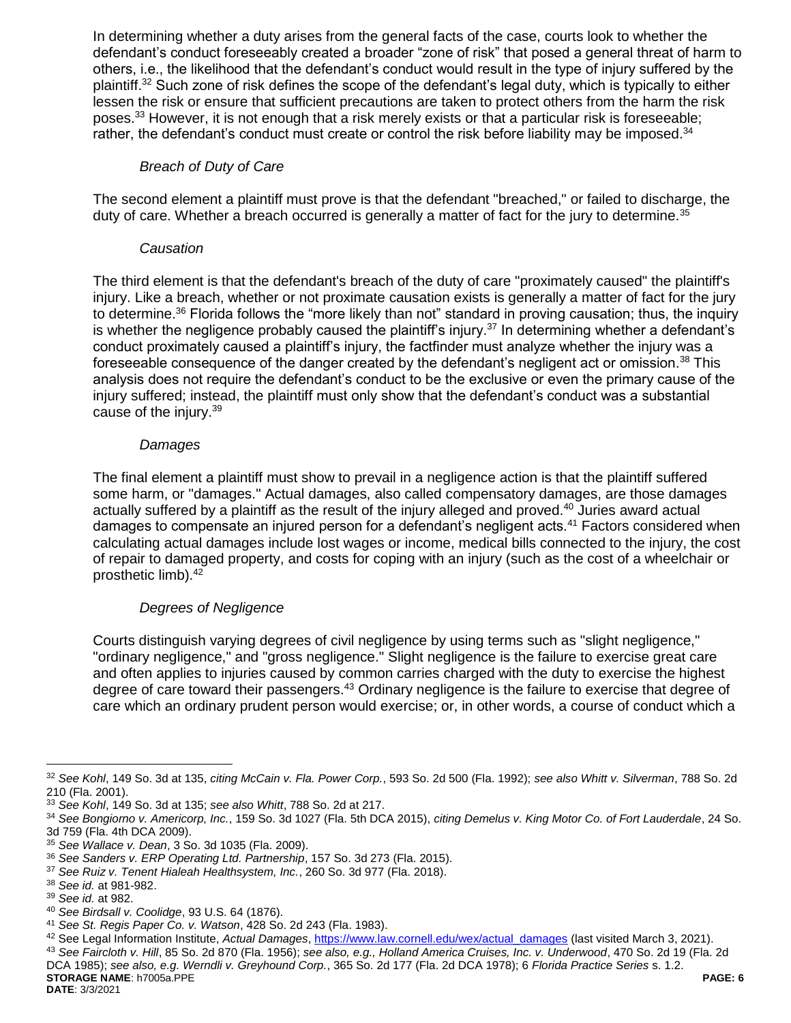In determining whether a duty arises from the general facts of the case, courts look to whether the defendant's conduct foreseeably created a broader "zone of risk" that posed a general threat of harm to others, i.e., the likelihood that the defendant's conduct would result in the type of injury suffered by the plaintiff.<sup>32</sup> Such zone of risk defines the scope of the defendant's legal duty, which is typically to either lessen the risk or ensure that sufficient precautions are taken to protect others from the harm the risk poses.<sup>33</sup> However, it is not enough that a risk merely exists or that a particular risk is foreseeable; rather, the defendant's conduct must create or control the risk before liability may be imposed.<sup>34</sup>

#### *Breach of Duty of Care*

The second element a plaintiff must prove is that the defendant "breached," or failed to discharge, the duty of care. Whether a breach occurred is generally a matter of fact for the jury to determine.<sup>35</sup>

#### *Causation*

The third element is that the defendant's breach of the duty of care "proximately caused" the plaintiff's injury. Like a breach, whether or not proximate causation exists is generally a matter of fact for the jury to determine.<sup>36</sup> Florida follows the "more likely than not" standard in proving causation; thus, the inquiry is whether the negligence probably caused the plaintiff's injury.<sup>37</sup> In determining whether a defendant's conduct proximately caused a plaintiff's injury, the factfinder must analyze whether the injury was a foreseeable consequence of the danger created by the defendant's negligent act or omission.<sup>38</sup> This analysis does not require the defendant's conduct to be the exclusive or even the primary cause of the injury suffered; instead, the plaintiff must only show that the defendant's conduct was a substantial cause of the injury.<sup>39</sup>

#### *Damages*

The final element a plaintiff must show to prevail in a negligence action is that the plaintiff suffered some harm, or "damages." Actual damages, also called compensatory damages, are those damages actually suffered by a plaintiff as the result of the injury alleged and proved.<sup>40</sup> Juries award actual damages to compensate an injured person for a defendant's negligent acts.<sup>41</sup> Factors considered when calculating actual damages include lost wages or income, medical bills connected to the injury, the cost of repair to damaged property, and costs for coping with an injury (such as the cost of a wheelchair or prosthetic limb).<sup>42</sup>

### *Degrees of Negligence*

Courts distinguish varying degrees of civil negligence by using terms such as "slight negligence," "ordinary negligence," and "gross negligence." Slight negligence is the failure to exercise great care and often applies to injuries caused by common carries charged with the duty to exercise the highest degree of care toward their passengers.<sup>43</sup> Ordinary negligence is the failure to exercise that degree of care which an ordinary prudent person would exercise; or, in other words, a course of conduct which a

 $\overline{a}$ 

**STORAGE NAME**: h7005a.PPE **PAGE: 6** <sup>43</sup> *See Faircloth v. Hill*, 85 So. 2d 870 (Fla. 1956); *see also, e.g., Holland America Cruises, Inc. v. Underwood*, 470 So. 2d 19 (Fla. 2d DCA 1985); *see also, e.g. Werndli v. Greyhound Corp.*, 365 So. 2d 177 (Fla. 2d DCA 1978); 6 *Florida Practice Series* s. 1.2.

<sup>32</sup> *See Kohl*, 149 So. 3d at 135, *citing McCain v. Fla. Power Corp.*, 593 So. 2d 500 (Fla. 1992); *see also Whitt v. Silverman*, 788 So. 2d 210 (Fla. 2001).

<sup>33</sup> *See Kohl*, 149 So. 3d at 135; *see also Whitt*, 788 So. 2d at 217.

<sup>34</sup> *See Bongiorno v. Americorp, Inc.*, 159 So. 3d 1027 (Fla. 5th DCA 2015), *citing Demelus v. King Motor Co. of Fort Lauderdale*, 24 So. 3d 759 (Fla. 4th DCA 2009).

<sup>35</sup> *See Wallace v. Dean*, 3 So. 3d 1035 (Fla. 2009).

<sup>36</sup> *See Sanders v. ERP Operating Ltd. Partnership*, 157 So. 3d 273 (Fla. 2015).

<sup>37</sup> *See Ruiz v. Tenent Hialeah Healthsystem, Inc.*, 260 So. 3d 977 (Fla. 2018).

<sup>38</sup> *See id.* at 981-982.

<sup>39</sup> *See id.* at 982.

<sup>40</sup> *See Birdsall v. Coolidge*, 93 U.S. 64 (1876).

<sup>41</sup> *See St. Regis Paper Co. v. Watson*, 428 So. 2d 243 (Fla. 1983).

<sup>42</sup> See Legal Information Institute, *Actual Damages*[, https://www.law.cornell.edu/wex/actual\\_damages](https://www.law.cornell.edu/wex/actual_damages) (last visited March 3, 2021).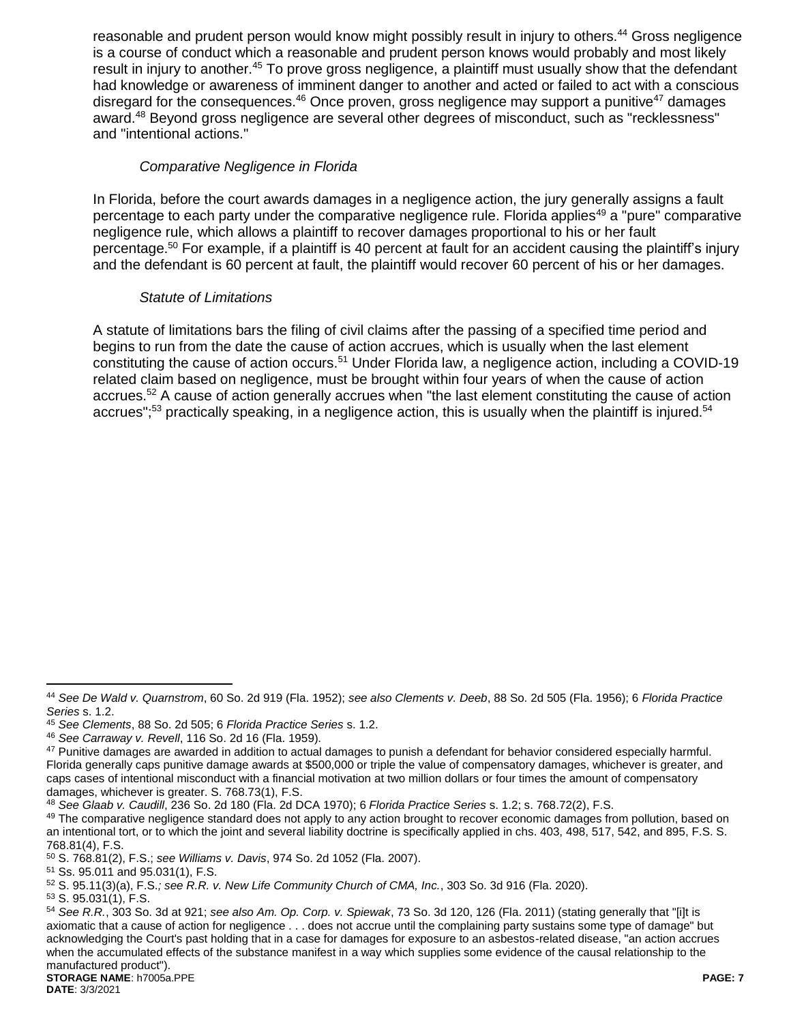reasonable and prudent person would know might possibly result in injury to others.<sup>44</sup> Gross negligence is a course of conduct which a reasonable and prudent person knows would probably and most likely result in injury to another.<sup>45</sup> To prove gross negligence, a plaintiff must usually show that the defendant had knowledge or awareness of imminent danger to another and acted or failed to act with a conscious disregard for the consequences. $46$  Once proven, gross negligence may support a punitive<sup>47</sup> damages award.<sup>48</sup> Beyond gross negligence are several other degrees of misconduct, such as "recklessness" and "intentional actions."

### *Comparative Negligence in Florida*

In Florida, before the court awards damages in a negligence action, the jury generally assigns a fault percentage to each party under the comparative negligence rule. Florida applies<sup>49</sup> a "pure" comparative negligence rule, which allows a plaintiff to recover damages proportional to his or her fault percentage.<sup>50</sup> For example, if a plaintiff is 40 percent at fault for an accident causing the plaintiff's injury and the defendant is 60 percent at fault, the plaintiff would recover 60 percent of his or her damages.

### *Statute of Limitations*

A statute of limitations bars the filing of civil claims after the passing of a specified time period and begins to run from the date the cause of action accrues, which is usually when the last element constituting the cause of action occurs.<sup>51</sup> Under Florida law, a negligence action, including a COVID-19 related claim based on negligence, must be brought within four years of when the cause of action accrues.<sup>52</sup> A cause of action generally accrues when "the last element constituting the cause of action accrues";<sup>53</sup> practically speaking, in a negligence action, this is usually when the plaintiff is injured.<sup>54</sup>

<sup>44</sup> *See De Wald v. Quarnstrom*, 60 So. 2d 919 (Fla. 1952); *see also Clements v. Deeb*, 88 So. 2d 505 (Fla. 1956); 6 *Florida Practice Series* s. 1.2.

<sup>45</sup> *See Clements*, 88 So. 2d 505; 6 *Florida Practice Series* s. 1.2.

<sup>46</sup> *See Carraway v. Revell*, 116 So. 2d 16 (Fla. 1959).

<sup>&</sup>lt;sup>47</sup> Punitive damages are awarded in addition to actual damages to punish a defendant for behavior considered especially harmful. Florida generally caps punitive damage awards at \$500,000 or triple the value of compensatory damages, whichever is greater, and caps cases of intentional misconduct with a financial motivation at two million dollars or four times the amount of compensatory damages, whichever is greater. S. 768.73(1), F.S.

<sup>48</sup> *See Glaab v. Caudill*, 236 So. 2d 180 (Fla. 2d DCA 1970); 6 *Florida Practice Series* s. 1.2; s. 768.72(2), F.S.

<sup>&</sup>lt;sup>49</sup> The comparative negligence standard does not apply to any action brought to recover economic damages from pollution, based on an intentional tort, or to which the joint and several liability doctrine is specifically applied in chs. 403, 498, 517, 542, and 895, F.S. S. 768.81(4), F.S.

<sup>50</sup> S. 768.81(2), F.S.; *see Williams v. Davis*, 974 So. 2d 1052 (Fla. 2007).

<sup>51</sup> Ss. 95.011 and 95.031(1), F.S.

<sup>52</sup> S. 95.11(3)(a), F.S.*; see R.R. v. New Life Community Church of CMA, Inc.*, 303 So. 3d 916 (Fla. 2020).

<sup>53</sup> S. 95.031(1), F.S.

**STORAGE NAME**: h7005a.PPE **PAGE: 7** <sup>54</sup> *See R.R.*, 303 So. 3d at 921; *see also Am. Op. Corp. v. Spiewak*, 73 So. 3d 120, 126 (Fla. 2011) (stating generally that "[i]t is axiomatic that a cause of action for negligence . . . does not accrue until the complaining party sustains some type of damage" but acknowledging the Court's past holding that in a case for damages for exposure to an asbestos-related disease, "an action accrues when the accumulated effects of the substance manifest in a way which supplies some evidence of the causal relationship to the manufactured product").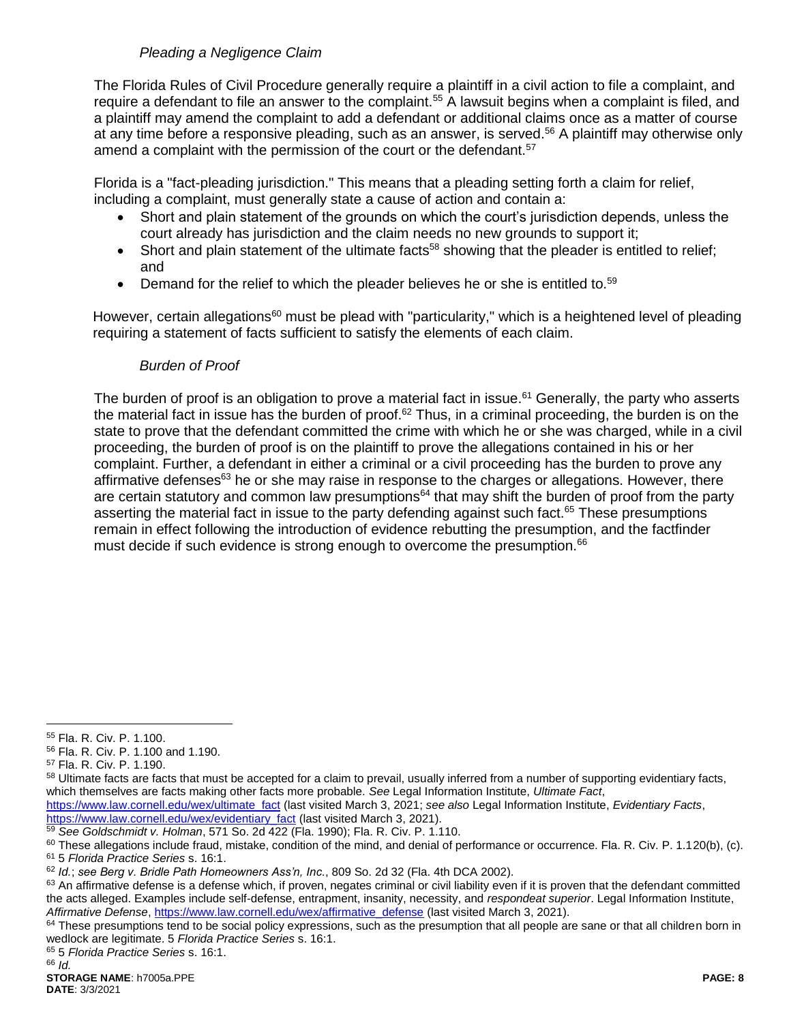# *Pleading a Negligence Claim*

The Florida Rules of Civil Procedure generally require a plaintiff in a civil action to file a complaint, and require a defendant to file an answer to the complaint.<sup>55</sup> A lawsuit begins when a complaint is filed, and a plaintiff may amend the complaint to add a defendant or additional claims once as a matter of course at any time before a responsive pleading, such as an answer, is served.<sup>56</sup> A plaintiff may otherwise only amend a complaint with the permission of the court or the defendant.<sup>57</sup>

Florida is a "fact-pleading jurisdiction." This means that a pleading setting forth a claim for relief, including a complaint, must generally state a cause of action and contain a:

- Short and plain statement of the grounds on which the court's jurisdiction depends, unless the court already has jurisdiction and the claim needs no new grounds to support it;
- $\bullet$  Short and plain statement of the ultimate facts<sup>58</sup> showing that the pleader is entitled to relief; and
- $\bullet$  Demand for the relief to which the pleader believes he or she is entitled to.<sup>59</sup>

However, certain allegations<sup>60</sup> must be plead with "particularity," which is a heightened level of pleading requiring a statement of facts sufficient to satisfy the elements of each claim.

### *Burden of Proof*

The burden of proof is an obligation to prove a material fact in issue.<sup>61</sup> Generally, the party who asserts the material fact in issue has the burden of proof.<sup>62</sup> Thus, in a criminal proceeding, the burden is on the state to prove that the defendant committed the crime with which he or she was charged, while in a civil proceeding, the burden of proof is on the plaintiff to prove the allegations contained in his or her complaint. Further, a defendant in either a criminal or a civil proceeding has the burden to prove any affirmative defenses $63$  he or she may raise in response to the charges or allegations. However, there are certain statutory and common law presumptions<sup>64</sup> that may shift the burden of proof from the party asserting the material fact in issue to the party defending against such fact.<sup>65</sup> These presumptions remain in effect following the introduction of evidence rebutting the presumption, and the factfinder must decide if such evidence is strong enough to overcome the presumption.<sup>66</sup>

<sup>55</sup> Fla. R. Civ. P. 1.100.

<sup>56</sup> Fla. R. Civ. P. 1.100 and 1.190.

<sup>57</sup> Fla. R. Civ. P. 1.190.

<sup>58</sup> Ultimate facts are facts that must be accepted for a claim to prevail, usually inferred from a number of supporting evidentiary facts, which themselves are facts making other facts more probable. *See* Legal Information Institute, *Ultimate Fact*,

[https://www.law.cornell.edu/wex/ultimate\\_fact](https://www.law.cornell.edu/wex/ultimate_fact) (last visited March 3, 2021; *see also* Legal Information Institute, *Evidentiary Facts*, [https://www.law.cornell.edu/wex/evidentiary\\_fact](https://www.law.cornell.edu/wex/evidentiary_fact) (last visited March 3, 2021).

<sup>59</sup> *See Goldschmidt v. Holman*, 571 So. 2d 422 (Fla. 1990); Fla. R. Civ. P. 1.110.

<sup>&</sup>lt;sup>60</sup> These allegations include fraud, mistake, condition of the mind, and denial of performance or occurrence. Fla. R. Civ. P. 1.120(b), (c). <sup>61</sup> 5 *Florida Practice Series* s. 16:1.

<sup>62</sup> *Id.*; *see Berg v. Bridle Path Homeowners Ass'n, Inc.*, 809 So. 2d 32 (Fla. 4th DCA 2002).

<sup>&</sup>lt;sup>63</sup> An affirmative defense is a defense which, if proven, negates criminal or civil liability even if it is proven that the defendant committed the acts alleged. Examples include self-defense, entrapment, insanity, necessity, and *respondeat superior*. Legal Information Institute, *Affirmative Defense*[, https://www.law.cornell.edu/wex/affirmative\\_defense](https://www.law.cornell.edu/wex/affirmative_defense) (last visited March 3, 2021).

<sup>&</sup>lt;sup>64</sup> These presumptions tend to be social policy expressions, such as the presumption that all people are sane or that all children born in wedlock are legitimate. 5 *Florida Practice Series* s. 16:1.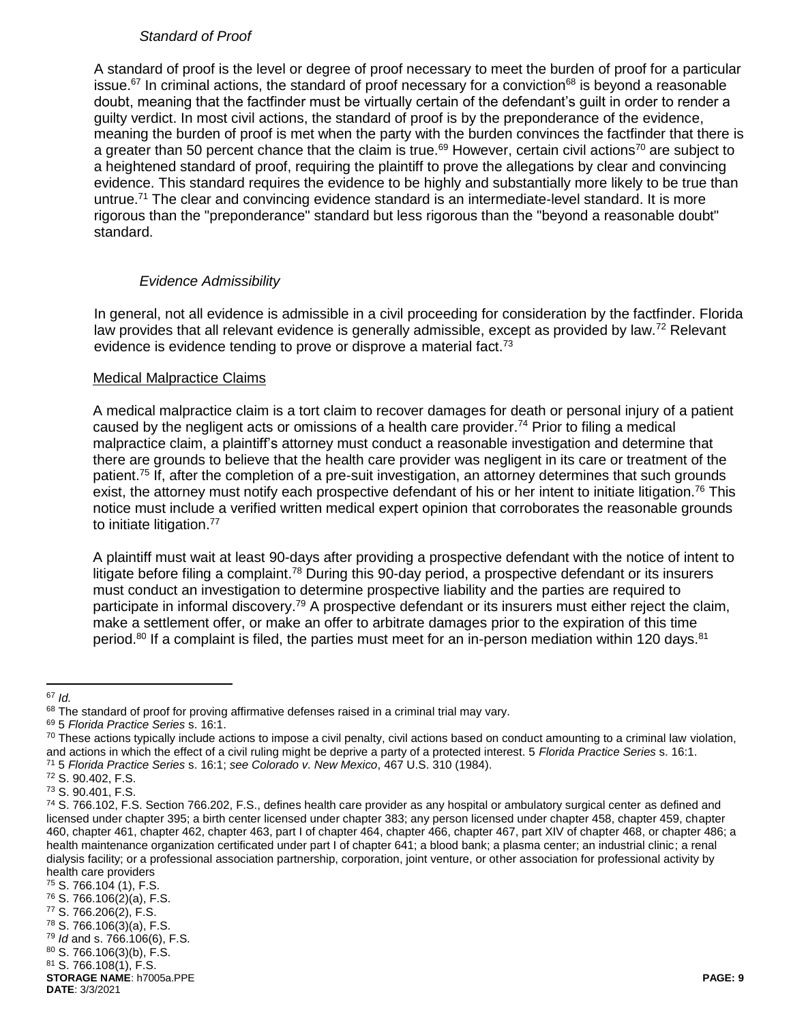### *Standard of Proof*

A standard of proof is the level or degree of proof necessary to meet the burden of proof for a particular issue.<sup>67</sup> In criminal actions, the standard of proof necessary for a conviction<sup>68</sup> is beyond a reasonable doubt, meaning that the factfinder must be virtually certain of the defendant's guilt in order to render a guilty verdict. In most civil actions, the standard of proof is by the preponderance of the evidence, meaning the burden of proof is met when the party with the burden convinces the factfinder that there is a greater than 50 percent chance that the claim is true.<sup>69</sup> However, certain civil actions<sup>70</sup> are subject to a heightened standard of proof, requiring the plaintiff to prove the allegations by clear and convincing evidence. This standard requires the evidence to be highly and substantially more likely to be true than untrue.<sup>71</sup> The clear and convincing evidence standard is an intermediate-level standard. It is more rigorous than the "preponderance" standard but less rigorous than the "beyond a reasonable doubt" standard.

### *Evidence Admissibility*

In general, not all evidence is admissible in a civil proceeding for consideration by the factfinder. Florida law provides that all relevant evidence is generally admissible, except as provided by law.<sup>72</sup> Relevant evidence is evidence tending to prove or disprove a material fact.<sup>73</sup>

#### Medical Malpractice Claims

A medical malpractice claim is a tort claim to recover damages for death or personal injury of a patient caused by the negligent acts or omissions of a health care provider.<sup>74</sup> Prior to filing a medical malpractice claim, a plaintiff's attorney must conduct a reasonable investigation and determine that there are grounds to believe that the health care provider was negligent in its care or treatment of the patient.<sup>75</sup> If, after the completion of a pre-suit investigation, an attorney determines that such grounds exist, the attorney must notify each prospective defendant of his or her intent to initiate litigation.<sup>76</sup> This notice must include a verified written medical expert opinion that corroborates the reasonable grounds to initiate litigation.<sup>77</sup>

A plaintiff must wait at least 90-days after providing a prospective defendant with the notice of intent to litigate before filing a complaint.<sup>78</sup> During this 90-day period, a prospective defendant or its insurers must conduct an investigation to determine prospective liability and the parties are required to participate in informal discovery.<sup>79</sup> A prospective defendant or its insurers must either reject the claim, make a settlement offer, or make an offer to arbitrate damages prior to the expiration of this time period.<sup>80</sup> If a complaint is filed, the parties must meet for an in-person mediation within 120 days.<sup>81</sup>

<sup>67</sup> *Id.*

<sup>68</sup> The standard of proof for proving affirmative defenses raised in a criminal trial may vary.

<sup>69</sup> 5 *Florida Practice Series* s. 16:1.

 $70$  These actions typically include actions to impose a civil penalty, civil actions based on conduct amounting to a criminal law violation, and actions in which the effect of a civil ruling might be deprive a party of a protected interest. 5 *Florida Practice Series* s. 16:1.

<sup>71</sup> 5 *Florida Practice Series* s. 16:1; *see Colorado v. New Mexico*, 467 U.S. 310 (1984).

<sup>72</sup> S. 90.402, F.S.

<sup>73</sup> S. 90.401, F.S.

<sup>74</sup> S. 766.102, F.S. Section 766.202, F.S., defines health care provider as any hospital or ambulatory surgical center as defined and licensed under chapter 395; a birth center licensed under chapter 383; any person licensed under chapter 458, chapter 459, chapter 460, chapter 461, chapter 462, chapter 463, part I of chapter 464, chapter 466, chapter 467, part XIV of chapter 468, or chapter 486; a health maintenance organization certificated under part I of chapter 641; a blood bank; a plasma center; an industrial clinic; a renal dialysis facility; or a professional association partnership, corporation, joint venture, or other association for professional activity by health care providers

<sup>75</sup> S. 766.104 (1), F.S.

<sup>76</sup> S. 766.106(2)(a), F.S.

<sup>77</sup> S. 766.206(2), F.S.

<sup>78</sup> S. 766.106(3)(a), F.S. <sup>79</sup> *Id* and s. 766.106(6), F.S.

<sup>80</sup> S. 766.106(3)(b), F.S.

<sup>81</sup> S. 766.108(1), F.S.

**STORAGE NAME**: h7005a.PPE **PAGE: 9**

**DATE**: 3/3/2021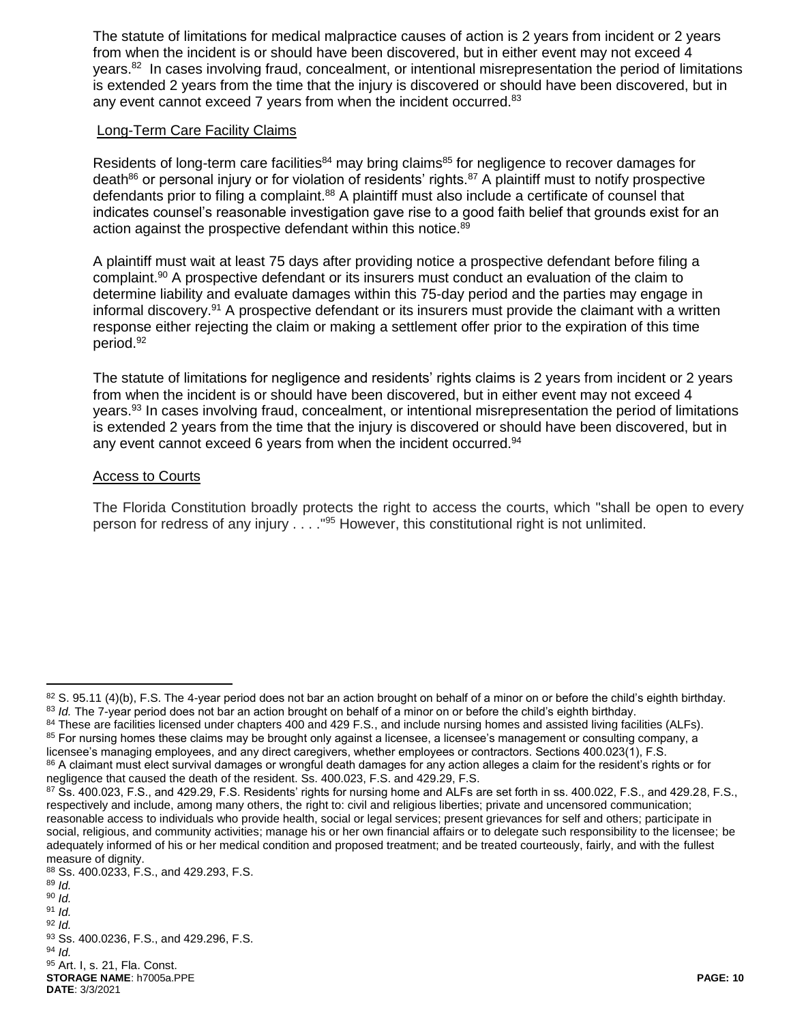The statute of limitations for medical malpractice causes of action is 2 years from incident or 2 years from when the incident is or should have been discovered, but in either event may not exceed 4 years.<sup>82</sup> In cases involving fraud, concealment, or intentional misrepresentation the period of limitations is extended 2 years from the time that the injury is discovered or should have been discovered, but in any event cannot exceed 7 years from when the incident occurred.<sup>83</sup>

#### Long-Term Care Facility Claims

Residents of long-term care facilities<sup>84</sup> may bring claims<sup>85</sup> for negligence to recover damages for death<sup>86</sup> or personal injury or for violation of residents' rights.<sup>87</sup> A plaintiff must to notify prospective defendants prior to filing a complaint.<sup>88</sup> A plaintiff must also include a certificate of counsel that indicates counsel's reasonable investigation gave rise to a good faith belief that grounds exist for an action against the prospective defendant within this notice.<sup>89</sup>

A plaintiff must wait at least 75 days after providing notice a prospective defendant before filing a complaint. <sup>90</sup> A prospective defendant or its insurers must conduct an evaluation of the claim to determine liability and evaluate damages within this 75-day period and the parties may engage in informal discovery.<sup>91</sup> A prospective defendant or its insurers must provide the claimant with a written response either rejecting the claim or making a settlement offer prior to the expiration of this time period. 92

The statute of limitations for negligence and residents' rights claims is 2 years from incident or 2 years from when the incident is or should have been discovered, but in either event may not exceed 4 years.<sup>93</sup> In cases involving fraud, concealment, or intentional misrepresentation the period of limitations is extended 2 years from the time that the injury is discovered or should have been discovered, but in any event cannot exceed 6 years from when the incident occurred.<sup>94</sup>

#### Access to Courts

The Florida Constitution broadly protects the right to access the courts, which "shall be open to every person for redress of any injury . . . . "<sup>95</sup> However, this constitutional right is not unlimited.

86 A claimant must elect survival damages or wrongful death damages for any action alleges a claim for the resident's rights or for negligence that caused the death of the resident. Ss. 400.023, F.S. and 429.29, F.S.

 $\overline{a}$ 

<sup>94</sup> *Id.*

**DATE**: 3/3/2021

 $82$  S. 95.11 (4)(b), F.S. The 4-year period does not bar an action brought on behalf of a minor on or before the child's eighth birthday. 83 *Id.* The 7-year period does not bar an action brought on behalf of a minor on or before the child's eighth birthday.

<sup>84</sup> These are facilities licensed under chapters 400 and 429 F.S., and include nursing homes and assisted living facilities (ALFs). <sup>85</sup> For nursing homes these claims may be brought only against a licensee, a licensee's management or consulting company, a licensee's managing employees, and any direct caregivers, whether employees or contractors. Sections 400.023(1), F.S.

<sup>87</sup> Ss. 400.023, F.S., and 429.29, F.S. Residents' rights for nursing home and ALFs are set forth in ss. 400.022, F.S., and 429.28, F.S., respectively and include, among many others, the right to: civil and religious liberties; private and uncensored communication; reasonable access to individuals who provide health, social or legal services; present grievances for self and others; participate in social, religious, and community activities; manage his or her own financial affairs or to delegate such responsibility to the licensee; be adequately informed of his or her medical condition and proposed treatment; and be treated courteously, fairly, and with the fullest measure of dignity.

<sup>88</sup> Ss. 400.0233, F.S., and 429.293, F.S.

<sup>89</sup> *Id.*

<sup>90</sup> *Id.*

<sup>91</sup> *Id.* <sup>92</sup> *Id.*

<sup>93</sup> Ss. 400.0236, F.S., and 429.296, F.S.

**STORAGE NAME**: h7005a.PPE **PAGE: 10** 95 Art. I, s. 21, Fla. Const.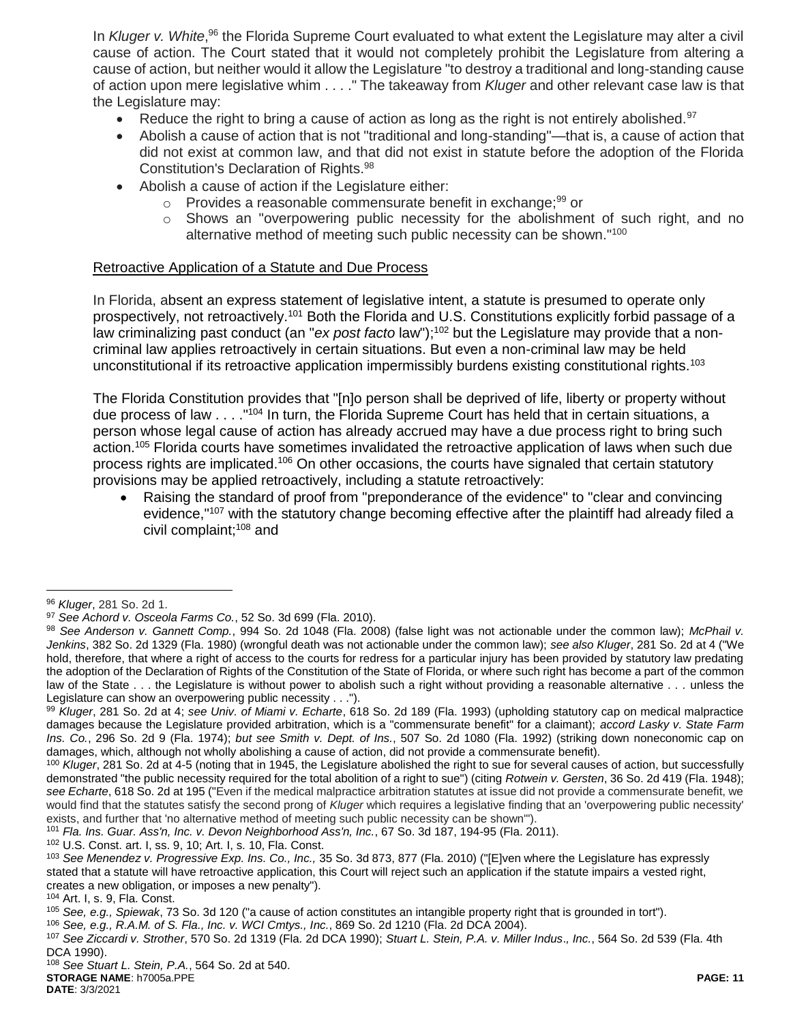In Kluger v. White,<sup>96</sup> the Florida Supreme Court evaluated to what extent the Legislature may alter a civil cause of action. The Court stated that it would not completely prohibit the Legislature from altering a cause of action, but neither would it allow the Legislature "to destroy a traditional and long-standing cause of action upon mere legislative whim . . . ." The takeaway from *Kluger* and other relevant case law is that the Legislature may:

- Reduce the right to bring a cause of action as long as the right is not entirely abolished.<sup>97</sup>
- Abolish a cause of action that is not "traditional and long-standing"—that is, a cause of action that did not exist at common law, and that did not exist in statute before the adoption of the Florida Constitution's Declaration of Rights.<sup>98</sup>
- Abolish a cause of action if the Legislature either:
	- $\circ$  Provides a reasonable commensurate benefit in exchange;  $99$  or
	- $\circ$  Shows an "overpowering public necessity for the abolishment of such right, and no alternative method of meeting such public necessity can be shown."<sup>100</sup>

#### Retroactive Application of a Statute and Due Process

In Florida, absent an express statement of legislative intent, a statute is presumed to operate only prospectively, not retroactively.<sup>101</sup> Both the Florida and U.S. Constitutions explicitly forbid passage of a law criminalizing past conduct (an "ex post facto law");<sup>102</sup> but the Legislature may provide that a noncriminal law applies retroactively in certain situations. But even a non-criminal law may be held unconstitutional if its retroactive application impermissibly burdens existing constitutional rights.<sup>103</sup>

The Florida Constitution provides that "[n]o person shall be deprived of life, liberty or property without due process of law . . . . "<sup>104</sup> In turn, the Florida Supreme Court has held that in certain situations, a person whose legal cause of action has already accrued may have a due process right to bring such action.<sup>105</sup> Florida courts have sometimes invalidated the retroactive application of laws when such due process rights are implicated.<sup>106</sup> On other occasions, the courts have signaled that certain statutory provisions may be applied retroactively, including a statute retroactively:

 Raising the standard of proof from "preponderance of the evidence" to "clear and convincing evidence,"<sup>107</sup> with the statutory change becoming effective after the plaintiff had already filed a civil complaint:<sup>108</sup> and

<sup>96</sup> *Kluger*, 281 So. 2d 1.

<sup>97</sup> *See Achord v. Osceola Farms Co.*, 52 So. 3d 699 (Fla. 2010).

<sup>98</sup> *See Anderson v. Gannett Comp.*, 994 So. 2d 1048 (Fla. 2008) (false light was not actionable under the common law); *McPhail v. Jenkins*, 382 So. 2d 1329 (Fla. 1980) (wrongful death was not actionable under the common law); *see also Kluger*, 281 So. 2d at 4 ("We hold, therefore, that where a right of access to the courts for redress for a particular injury has been provided by statutory law predating the adoption of the Declaration of Rights of the Constitution of the State of Florida, or where such right has become a part of the common law of the State . . . the Legislature is without power to abolish such a right without providing a reasonable alternative . . . unless the Legislature can show an overpowering public necessity . . .").

<sup>99</sup> *Kluger*, 281 So. 2d at 4; *see Univ. of Miami v. Echarte*, 618 So. 2d 189 (Fla. 1993) (upholding statutory cap on medical malpractice damages because the Legislature provided arbitration, which is a "commensurate benefit" for a claimant); *accord Lasky v. State Farm Ins. Co.*, 296 So. 2d 9 (Fla. 1974); *but see Smith v. Dept. of Ins.*, 507 So. 2d 1080 (Fla. 1992) (striking down noneconomic cap on damages, which, although not wholly abolishing a cause of action, did not provide a commensurate benefit).

<sup>&</sup>lt;sup>100</sup> *Kluger*, 281 So. 2d at 4-5 (noting that in 1945, the Legislature abolished the right to sue for several causes of action, but successfully demonstrated "the public necessity required for the total abolition of a right to sue") (citing *Rotwein v. Gersten*, 36 So. 2d 419 (Fla. 1948); *see Echarte*, 618 So. 2d at 195 ("Even if the medical malpractice arbitration statutes at issue did not provide a commensurate benefit, we would find that the statutes satisfy the second prong of *Kluger* which requires a legislative finding that an 'overpowering public necessity' exists, and further that 'no alternative method of meeting such public necessity can be shown'").

<sup>101</sup> *Fla. Ins. Guar. Ass'n, Inc. v. Devon Neighborhood Ass'n, Inc.*, 67 So. 3d 187, 194-95 (Fla. 2011).

<sup>102</sup> U.S. Const. art. I, ss. 9, 10; Art. I, s. 10, Fla. Const.

<sup>103</sup> *See Menendez v. Progressive Exp. Ins. Co., Inc.,* 35 So. 3d 873, 877 (Fla. 2010) ("[E]ven where the Legislature has expressly stated that a statute will have retroactive application, this Court will reject such an application if the statute impairs a vested right, creates a new obligation, or imposes a new penalty").

<sup>104</sup> Art. I, s. 9, Fla. Const.

<sup>105</sup> *See, e.g., Spiewak*, 73 So. 3d 120 ("a cause of action constitutes an intangible property right that is grounded in tort").

<sup>106</sup> *See, e.g., R.A.M. of S. Fla., Inc. v. WCI Cmtys., Inc.*, 869 So. 2d 1210 (Fla. 2d DCA 2004).

<sup>107</sup> *See Ziccardi v. Strother*, 570 So. 2d 1319 (Fla. 2d DCA 1990); *Stuart L. Stein, P.A. v. Miller Indus*.*, Inc.*, 564 So. 2d 539 (Fla. 4th DCA 1990).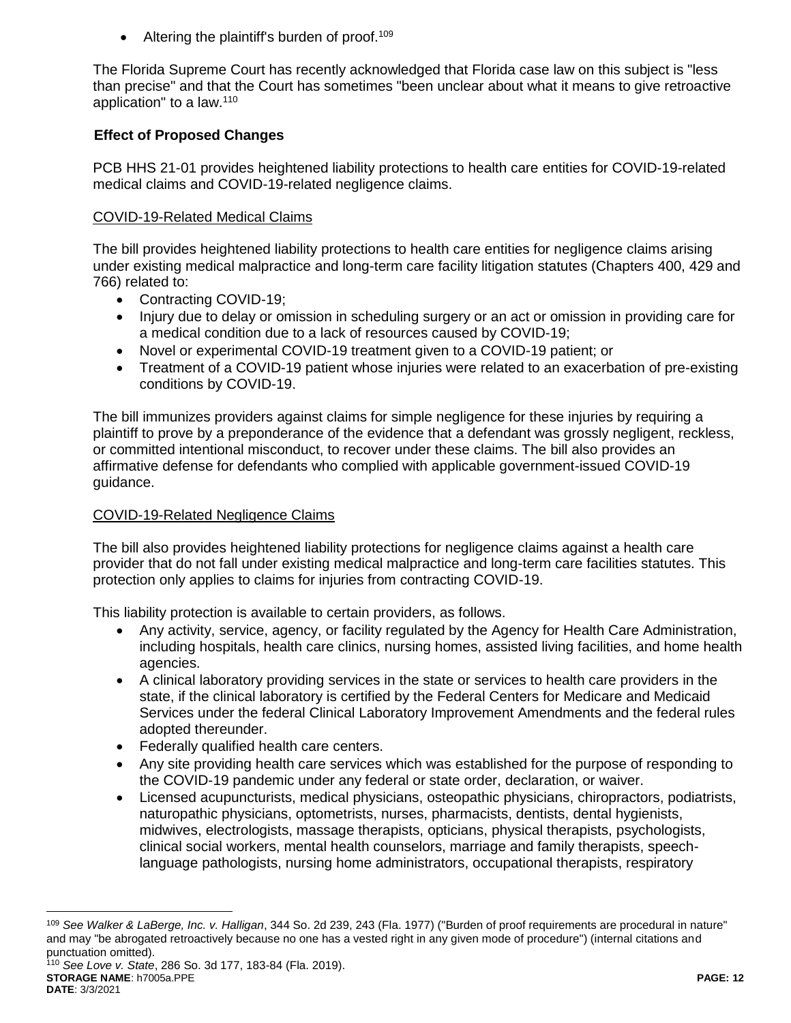Altering the plaintiff's burden of proof.<sup>109</sup>

The Florida Supreme Court has recently acknowledged that Florida case law on this subject is "less than precise" and that the Court has sometimes "been unclear about what it means to give retroactive application" to a law.<sup>110</sup>

# **Effect of Proposed Changes**

PCB HHS 21-01 provides heightened liability protections to health care entities for COVID-19-related medical claims and COVID-19-related negligence claims.

# COVID-19-Related Medical Claims

The bill provides heightened liability protections to health care entities for negligence claims arising under existing medical malpractice and long-term care facility litigation statutes (Chapters 400, 429 and 766) related to:

- Contracting COVID-19;
- Injury due to delay or omission in scheduling surgery or an act or omission in providing care for a medical condition due to a lack of resources caused by COVID-19;
- Novel or experimental COVID-19 treatment given to a COVID-19 patient; or
- Treatment of a COVID-19 patient whose injuries were related to an exacerbation of pre-existing conditions by COVID-19.

The bill immunizes providers against claims for simple negligence for these injuries by requiring a plaintiff to prove by a preponderance of the evidence that a defendant was grossly negligent, reckless, or committed intentional misconduct, to recover under these claims. The bill also provides an affirmative defense for defendants who complied with applicable government-issued COVID-19 guidance.

# COVID-19-Related Negligence Claims

The bill also provides heightened liability protections for negligence claims against a health care provider that do not fall under existing medical malpractice and long-term care facilities statutes. This protection only applies to claims for injuries from contracting COVID-19.

This liability protection is available to certain providers, as follows.

- Any activity, service, agency, or facility regulated by the Agency for Health Care Administration, including hospitals, health care clinics, nursing homes, assisted living facilities, and home health agencies.
- A clinical laboratory providing services in the state or services to health care providers in the state, if the clinical laboratory is certified by the Federal Centers for Medicare and Medicaid Services under the federal Clinical Laboratory Improvement Amendments and the federal rules adopted thereunder.
- Federally qualified health care centers.
- Any site providing health care services which was established for the purpose of responding to the COVID-19 pandemic under any federal or state order, declaration, or waiver.
- Licensed acupuncturists, medical physicians, osteopathic physicians, chiropractors, podiatrists, naturopathic physicians, optometrists, nurses, pharmacists, dentists, dental hygienists, midwives, electrologists, massage therapists, opticians, physical therapists, psychologists, clinical social workers, mental health counselors, marriage and family therapists, speechlanguage pathologists, nursing home administrators, occupational therapists, respiratory

 $\overline{a}$ <sup>109</sup> *See Walker & LaBerge, Inc. v. Halligan*, 344 So. 2d 239, 243 (Fla. 1977) ("Burden of proof requirements are procedural in nature" and may "be abrogated retroactively because no one has a vested right in any given mode of procedure") (internal citations and punctuation omitted).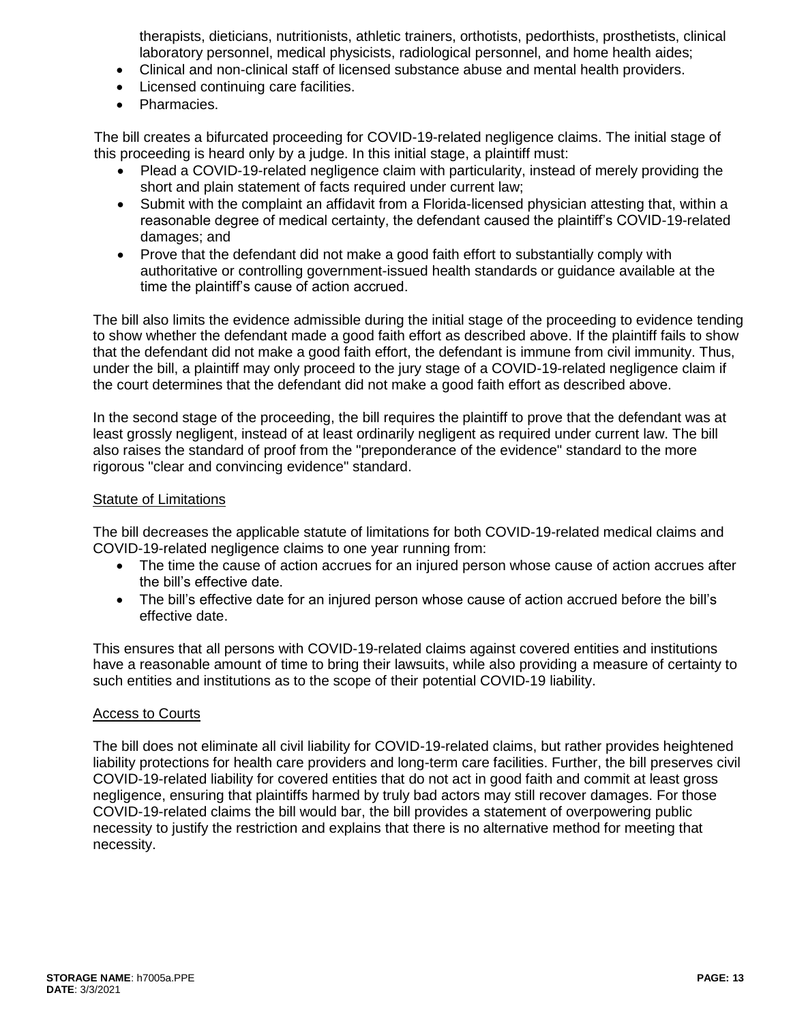therapists, dieticians, nutritionists, athletic trainers, orthotists, pedorthists, prosthetists, clinical laboratory personnel, medical physicists, radiological personnel, and home health aides;

- Clinical and non-clinical staff of licensed substance abuse and mental health providers.
- Licensed continuing care facilities.
- Pharmacies.

The bill creates a bifurcated proceeding for COVID-19-related negligence claims. The initial stage of this proceeding is heard only by a judge. In this initial stage, a plaintiff must:

- Plead a COVID-19-related negligence claim with particularity, instead of merely providing the short and plain statement of facts required under current law;
- Submit with the complaint an affidavit from a Florida-licensed physician attesting that, within a reasonable degree of medical certainty, the defendant caused the plaintiff's COVID-19-related damages; and
- Prove that the defendant did not make a good faith effort to substantially comply with authoritative or controlling government-issued health standards or guidance available at the time the plaintiff's cause of action accrued.

The bill also limits the evidence admissible during the initial stage of the proceeding to evidence tending to show whether the defendant made a good faith effort as described above. If the plaintiff fails to show that the defendant did not make a good faith effort, the defendant is immune from civil immunity. Thus, under the bill, a plaintiff may only proceed to the jury stage of a COVID-19-related negligence claim if the court determines that the defendant did not make a good faith effort as described above.

In the second stage of the proceeding, the bill requires the plaintiff to prove that the defendant was at least grossly negligent, instead of at least ordinarily negligent as required under current law. The bill also raises the standard of proof from the "preponderance of the evidence" standard to the more rigorous "clear and convincing evidence" standard.

#### Statute of Limitations

The bill decreases the applicable statute of limitations for both COVID-19-related medical claims and COVID-19-related negligence claims to one year running from:

- The time the cause of action accrues for an injured person whose cause of action accrues after the bill's effective date.
- The bill's effective date for an injured person whose cause of action accrued before the bill's effective date.

This ensures that all persons with COVID-19-related claims against covered entities and institutions have a reasonable amount of time to bring their lawsuits, while also providing a measure of certainty to such entities and institutions as to the scope of their potential COVID-19 liability.

#### Access to Courts

The bill does not eliminate all civil liability for COVID-19-related claims, but rather provides heightened liability protections for health care providers and long-term care facilities. Further, the bill preserves civil COVID-19-related liability for covered entities that do not act in good faith and commit at least gross negligence, ensuring that plaintiffs harmed by truly bad actors may still recover damages. For those COVID-19-related claims the bill would bar, the bill provides a statement of overpowering public necessity to justify the restriction and explains that there is no alternative method for meeting that necessity.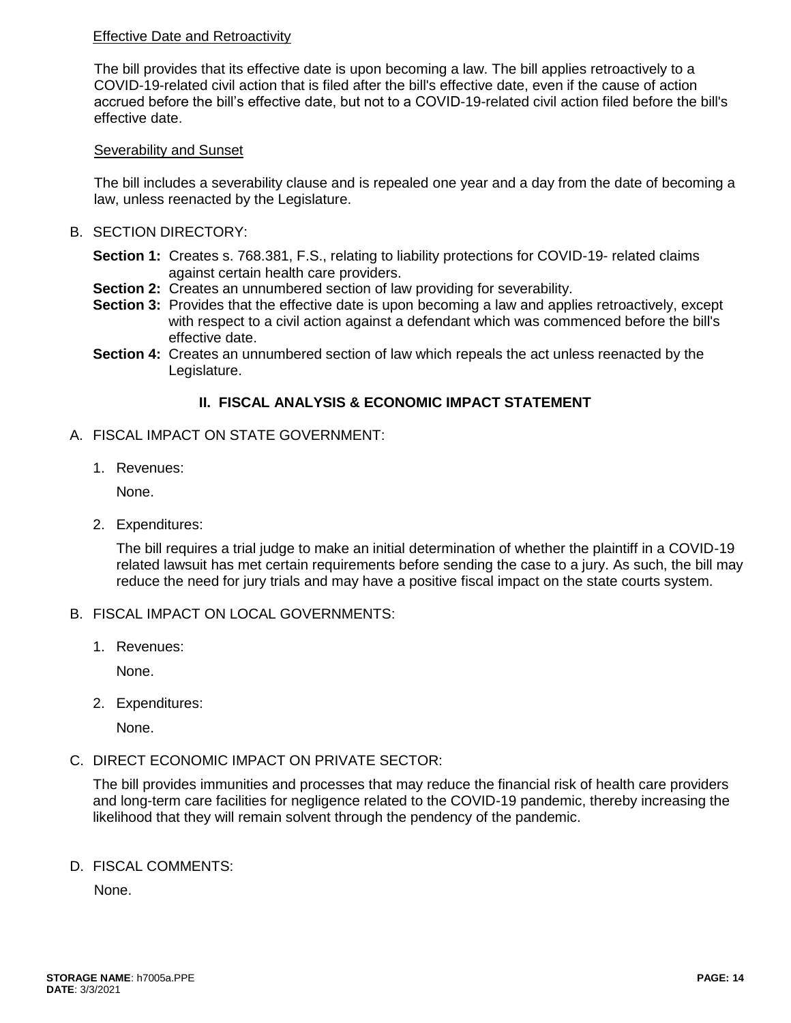# Effective Date and Retroactivity

The bill provides that its effective date is upon becoming a law. The bill applies retroactively to a COVID-19-related civil action that is filed after the bill's effective date, even if the cause of action accrued before the bill's effective date, but not to a COVID-19-related civil action filed before the bill's effective date.

#### Severability and Sunset

The bill includes a severability clause and is repealed one year and a day from the date of becoming a law, unless reenacted by the Legislature.

- B. SECTION DIRECTORY:
	- **Section 1:** Creates s. 768.381, F.S., relating to liability protections for COVID-19- related claims against certain health care providers.
	- **Section 2:** Creates an unnumbered section of law providing for severability.
	- **Section 3:** Provides that the effective date is upon becoming a law and applies retroactively, except with respect to a civil action against a defendant which was commenced before the bill's effective date.
	- **Section 4:** Creates an unnumbered section of law which repeals the act unless reenacted by the Legislature.

### **II. FISCAL ANALYSIS & ECONOMIC IMPACT STATEMENT**

- A. FISCAL IMPACT ON STATE GOVERNMENT:
	- 1. Revenues:

None.

2. Expenditures:

The bill requires a trial judge to make an initial determination of whether the plaintiff in a COVID-19 related lawsuit has met certain requirements before sending the case to a jury. As such, the bill may reduce the need for jury trials and may have a positive fiscal impact on the state courts system.

### B. FISCAL IMPACT ON LOCAL GOVERNMENTS:

1. Revenues:

None.

2. Expenditures:

None.

C. DIRECT ECONOMIC IMPACT ON PRIVATE SECTOR:

The bill provides immunities and processes that may reduce the financial risk of health care providers and long-term care facilities for negligence related to the COVID-19 pandemic, thereby increasing the likelihood that they will remain solvent through the pendency of the pandemic.

D. FISCAL COMMENTS:

None.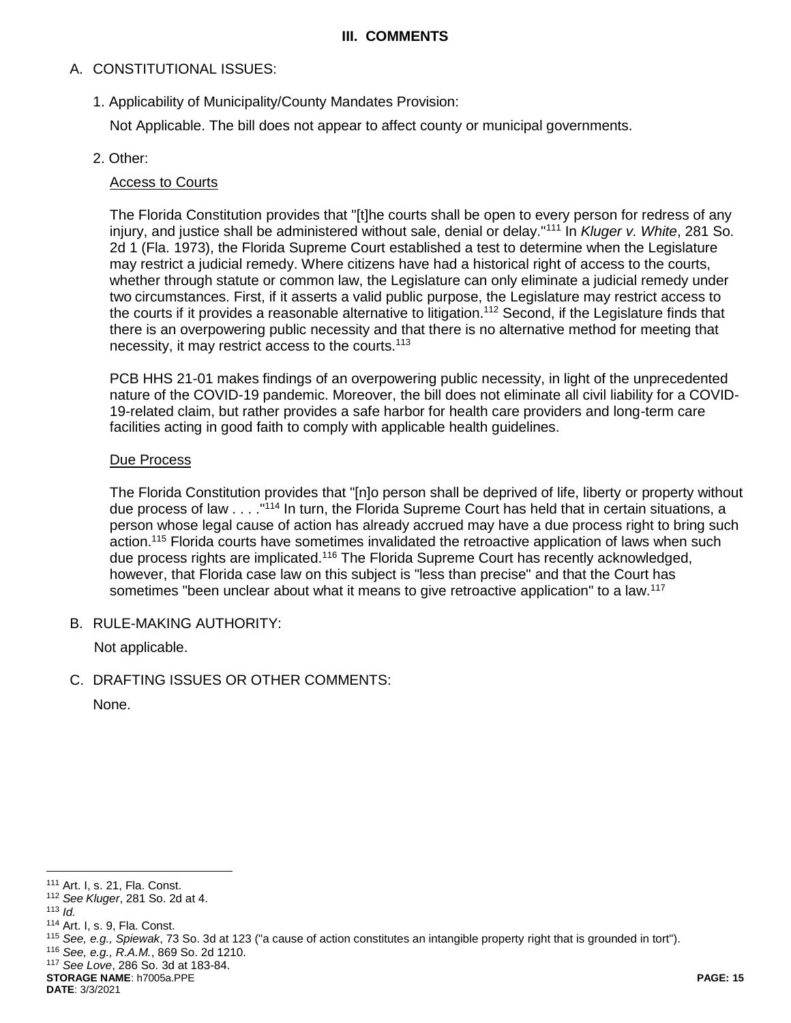#### **III. COMMENTS**

# A. CONSTITUTIONAL ISSUES:

1. Applicability of Municipality/County Mandates Provision:

Not Applicable. The bill does not appear to affect county or municipal governments.

# 2. Other:

# Access to Courts

The Florida Constitution provides that "[t]he courts shall be open to every person for redress of any injury, and justice shall be administered without sale, denial or delay."<sup>111</sup> In *Kluger v. White*, 281 So. 2d 1 (Fla. 1973), the Florida Supreme Court established a test to determine when the Legislature may restrict a judicial remedy. Where citizens have had a historical right of access to the courts, whether through statute or common law, the Legislature can only eliminate a judicial remedy under two circumstances. First, if it asserts a valid public purpose, the Legislature may restrict access to the courts if it provides a reasonable alternative to litigation.<sup>112</sup> Second, if the Legislature finds that there is an overpowering public necessity and that there is no alternative method for meeting that necessity, it may restrict access to the courts.<sup>113</sup>

PCB HHS 21-01 makes findings of an overpowering public necessity, in light of the unprecedented nature of the COVID-19 pandemic. Moreover, the bill does not eliminate all civil liability for a COVID-19-related claim, but rather provides a safe harbor for health care providers and long-term care facilities acting in good faith to comply with applicable health guidelines.

### Due Process

The Florida Constitution provides that "[n]o person shall be deprived of life, liberty or property without due process of law . . . . "<sup>114</sup> In turn, the Florida Supreme Court has held that in certain situations, a person whose legal cause of action has already accrued may have a due process right to bring such action.<sup>115</sup> Florida courts have sometimes invalidated the retroactive application of laws when such due process rights are implicated.<sup>116</sup> The Florida Supreme Court has recently acknowledged, however, that Florida case law on this subject is "less than precise" and that the Court has sometimes "been unclear about what it means to give retroactive application" to a law.<sup>117</sup>

B. RULE-MAKING AUTHORITY:

Not applicable.

C. DRAFTING ISSUES OR OTHER COMMENTS:

None.

 $\overline{a}$ 

<sup>116</sup> *See, e.g., R.A.M.*, 869 So. 2d 1210.

**STORAGE NAME**: h7005a.PPE **PAGE: 15**

<sup>111</sup> Art. I, s. 21, Fla. Const.

<sup>112</sup> *See Kluger*, 281 So. 2d at 4.

<sup>113</sup> *Id.*

<sup>114</sup> Art. I, s. 9, Fla. Const.

<sup>115</sup> *See, e.g., Spiewak*, 73 So. 3d at 123 ("a cause of action constitutes an intangible property right that is grounded in tort").

<sup>117</sup> *See Love*, 286 So. 3d at 183-84.